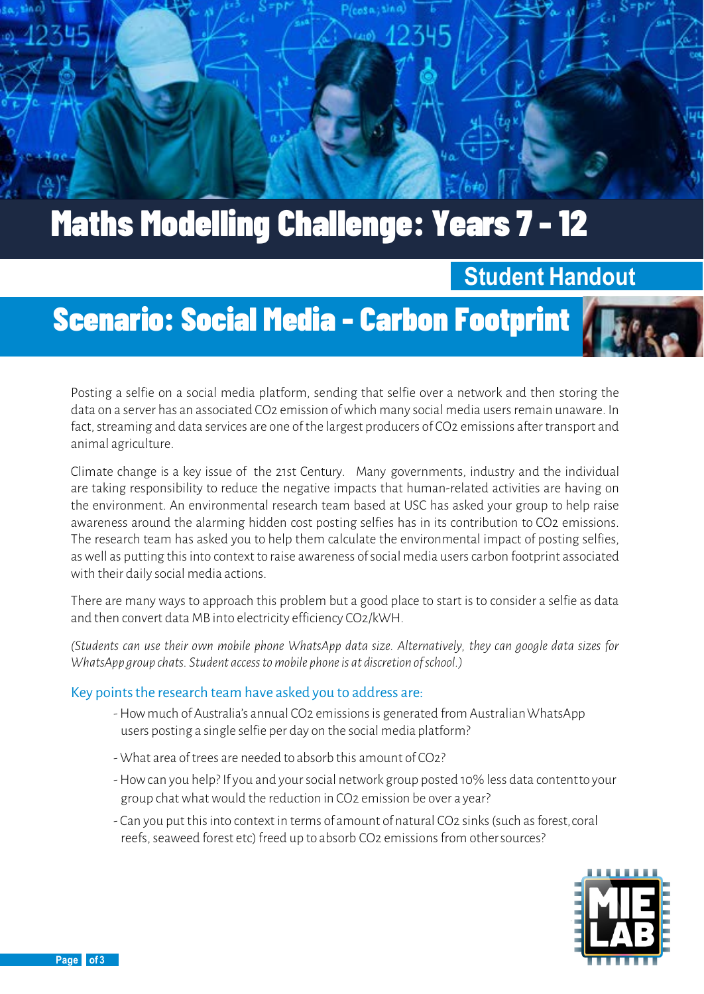

### **Student Handout**

# Scenario: Social Media - Carbon Footprint

Posting a selfie on a social media platform, sending that selfie over a network and then storing the data on a server has an associated CO2 emission of which many social media users remain unaware. In fact, streaming and data services are one of the largest producers of CO2 emissions after transport and animal agriculture.

Climate change is a key issue of the 21st Century. Many governments, industry and the individual are taking responsibility to reduce the negative impacts that human-related activities are having on the environment. An environmental research team based at USC has asked your group to help raise awareness around the alarming hidden cost posting selfies has in its contribution to CO2 emissions. The research team has asked you to help them calculate the environmental impact of posting selfies, as well as putting this into context to raise awareness of social media users carbon footprint associated with their daily social media actions.

There are many ways to approach this problem but a good place to start is to consider a selfie as data and then convert data MB into electricity efficiency CO2/kWH.

*(Students can use their own mobile phone WhatsApp data size. Alternatively, they can google data sizes for WhatsApp group chats. Student access to mobile phone is at discretion of school.)*

#### Key points the research team have asked you to address are:

- -How much of Australia's annual CO2 emissions is generated from AustralianWhatsApp users posting a single selfie per day on the social media platform?
- What area of trees are needed to absorb this amount of CO2?
- -How can you help? If you and your social network group posted 10% less data contentto your group chat what would the reduction in CO2 emission be over a year?
- Can you put this into context in terms of amount of natural CO2 sinks (such as forest,coral reefs, seaweed forest etc) freed up to absorb CO2 emissions from othersources?



 $\left( \frac{\alpha}{\epsilon} \right)$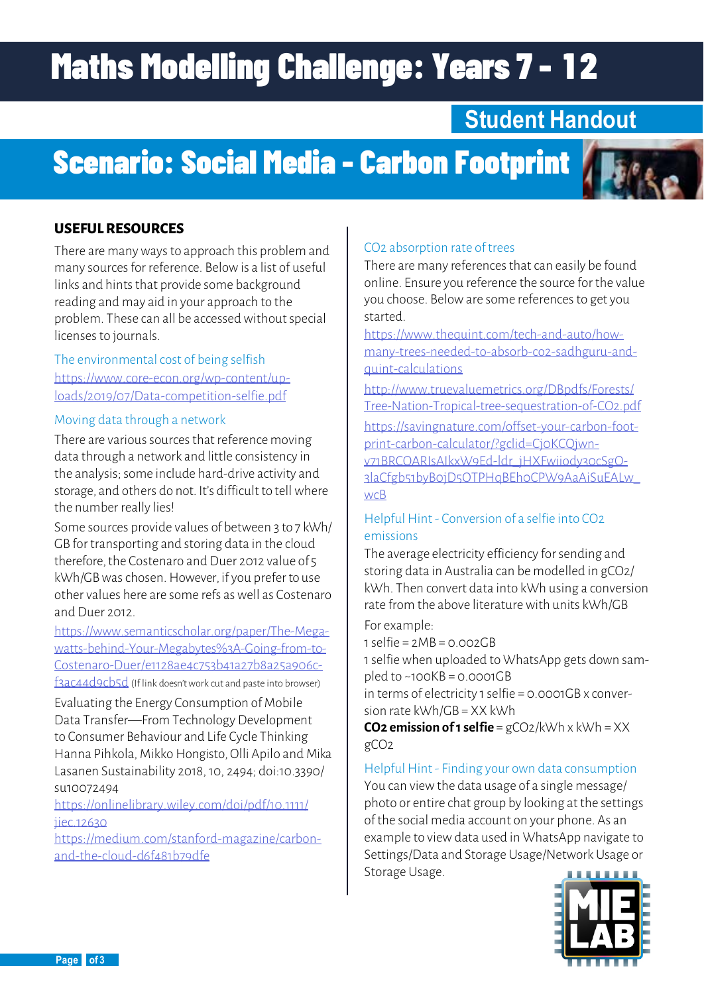# **Maths Modelling Challenge: Years 7 - 12**

### **Student Handout**

## Scenario: Social Media - Carbon Footprint



#### **USEFUL RESOURCES**

There are many ways to approach this problem and many sources for reference. Below is a list of useful links and hints that provide some background reading and may aid in your approach to the problem. These can all be accessed without special licenses to journals.

The environmental cost of being selfish [https://www.core-econ.org/wp-content/up](https://www.core-econ.org/wp-content/uploads/2019/07/Data-competition-selfie.pdf)[loads/2019/07/Data-competition-selfie.pdf](https://www.core-econ.org/wp-content/uploads/2019/07/Data-competition-selfie.pdf)

#### Moving data through a network

There are various sources that reference moving data through a network and little consistency in the analysis; some include hard-drive activity and storage, and others do not. It's difficult to tell where the number really lies!

Some sources provide values of between 3 to 7 kWh/ GB for transporting and storing data in the cloud therefore, the Costenaro and Duer 2012 value of 5 kWh/GB was chosen. However, if you prefer to use other values here are some refs as well as Costenaro and Duer 2012.

[https://www.semanticscholar.org/paper/The-Mega](https://www.semanticscholar.org/paper/The-Megawatts-behind-Your-Megabytes%3A-Going-from-to-Costenaro-Duer/e1128ae4c753b41a27b8a25a906cf3ac44d9cb5d)[watts-behind-Your-Megabytes%3A-Going-from-to-](https://www.semanticscholar.org/paper/The-Megawatts-behind-Your-Megabytes%3A-Going-from-to-Costenaro-Duer/e1128ae4c753b41a27b8a25a906cf3ac44d9cb5d)[Costenaro-Duer/e1128ae4c753b41a27b8a25a906c-](https://www.semanticscholar.org/paper/The-Megawatts-behind-Your-Megabytes%3A-Going-from-to-Costenaro-Duer/e1128ae4c753b41a27b8a25a906cf3ac44d9cb5d)

[f3ac44d9cb5d](https://www.semanticscholar.org/paper/The-Megawatts-behind-Your-Megabytes%3A-Going-from-to-Costenaro-Duer/e1128ae4c753b41a27b8a25a906cf3ac44d9cb5d) (If link doesn't work cut and paste into browser) Evaluating the Energy Consumption of Mobile Data Transfer—From Technology Development to Consumer Behaviour and Life Cycle Thinking Hanna Pihkola, Mikko Hongisto, Olli Apilo and Mika

Lasanen Sustainability 2018, 10, 2494; doi:10.3390/ su10072494

[https://onlinelibrary.wiley.com/doi/pdf/10.1111/](https://onlinelibrary.wiley.com/doi/pdf/10.1111/jiec.12630) ijec. 12630.

[https://medium.com/stanford-magazine/carbon](https://medium.com/stanford-magazine/carbon-and-the-cloud-d6f481b79dfe)[and-the-cloud-d6f481b79dfe](https://medium.com/stanford-magazine/carbon-and-the-cloud-d6f481b79dfe)

#### CO2 absorption rate of trees

There are many references that can easily be found online. Ensure you reference the source for the value you choose. Below are some references to get you started.

[https://www.thequint.com/tech-and-auto/how](https://www.thequint.com/tech-and-auto/how-many-trees-needed-to-absorb-co2-sadhguru-and-quint-calculations)[many-trees-needed-to-absorb-co2-sadhguru-and](https://www.thequint.com/tech-and-auto/how-many-trees-needed-to-absorb-co2-sadhguru-and-quint-calculations)[quint-calculations](https://www.thequint.com/tech-and-auto/how-many-trees-needed-to-absorb-co2-sadhguru-and-quint-calculations)

[http://www.truevaluemetrics.org/DBpdfs/Forests/](http://www.truevaluemetrics.org/DBpdfs/Forests/Tree-Nation-Tropical-tree-sequestration-of-CO2.pdf) [Tree-Nation-Tropical-tree-sequestration-of-CO2.pdf](http://www.truevaluemetrics.org/DBpdfs/Forests/Tree-Nation-Tropical-tree-sequestration-of-CO2.pdf)

[https://savingnature.com/offset-your-carbon-foot](https://savingnature.com/offset-your-carbon-footprint-carbon-calculator/?gclid=Cj0KCQjwnv71BRCOARIsA)[print-carbon-calculator/?gclid=Cj0KCQjwn](https://savingnature.com/offset-your-carbon-footprint-carbon-calculator/?gclid=Cj0KCQjwnv71BRCOARIsA)[v71BRCOARIsAIkxW9Ed-ldr\\_jHXFwiiody30cSgO-](https://savingnature.com/offset-your-carbon-footprint-carbon-calculator/?gclid=Cj0KCQjwnv71BRCOARIsA)[3laCfgb51byB0jD5OTPHqBEh0CPW9AaAiSuEALw\\_](https://savingnature.com/offset-your-carbon-footprint-carbon-calculator/?gclid=Cj0KCQjwnv71BRCOARIsA) [wcB](https://savingnature.com/offset-your-carbon-footprint-carbon-calculator/?gclid=Cj0KCQjwnv71BRCOARIsA)

#### Helpful Hint - Conversion of a selfie into CO2 emissions

The average electricity efficiency for sending and storing data in Australia can be modelled in gCO2/ kWh. Then convert data into kWh using a conversion rate from the above literature with units kWh/GB

For example:

 $1$  selfie =  $2MB = 0.002GB$ 

1 selfie when uploaded to WhatsApp gets down sampled to  $~100KB = 0.0001GB$ 

in terms of electricity 1 selfie = 0.0001GB x conversion rate kWh/GB = XX kWh

**CO2 emission of 1 selfie** = gCO2/kWh x kWh = XX gCO2

Helpful Hint - Finding your own data consumption You can view the data usage of a single message/ photo or entire chat group by looking at the settings of the social media account on your phone. As an example to view data used in WhatsApp navigate to Settings/Data and Storage Usage/Network Usage or Storage Usage.

**Page 2 of 3**